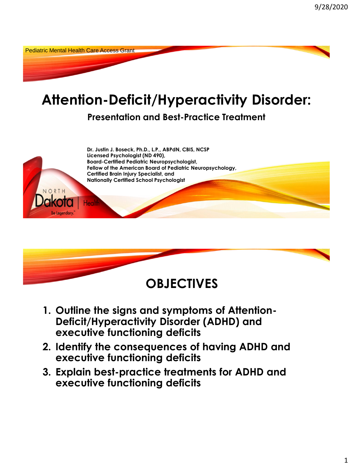Pediatric Mental Health Care Access Grant

# **Attention-Deficit/Hyperactivity Disorder:**

**Presentation and Best-Practice Treatment** 





- **1. Outline the signs and symptoms of Attention-Deficit/Hyperactivity Disorder (ADHD) and executive functioning deficits**
- **2. Identify the consequences of having ADHD and executive functioning deficits**
- **3. Explain best-practice treatments for ADHD and executive functioning deficits**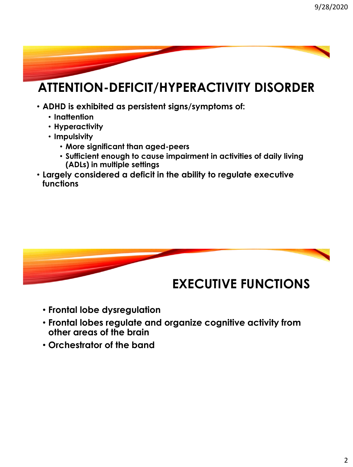## **ATTENTION-DEFICIT/HYPERACTIVITY DISORDER**

- **ADHD is exhibited as persistent signs/symptoms of:**
	- **Inattention**
	- **Hyperactivity**
	- **Impulsivity** 
		- **More significant than aged-peers**
		- **Sufficient enough to cause impairment in activities of daily living (ADLs) in multiple settings**
- **Largely considered a deficit in the ability to regulate executive functions**



- **Frontal lobe dysregulation**
- **Frontal lobes regulate and organize cognitive activity from other areas of the brain**
- **Orchestrator of the band**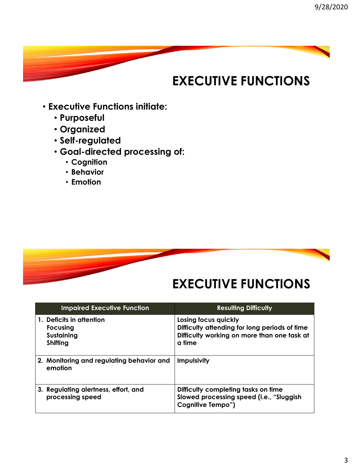## **EXECUTIVE FUNCTIONS**

- **Executive Functions initiate:**
	- **Purposeful**
	- **Organized**
	- **Self-regulated**
	- **Goal-directed processing of:** 
		- **Cognition**
		- **Behavior**
		- **Emotion**



### **EXECUTIVE FUNCTIONS**

| <b>Impaired Executive Function</b>                             | <b>Resulting Difficulty</b>                                                                                                    |
|----------------------------------------------------------------|--------------------------------------------------------------------------------------------------------------------------------|
| 1. Deficits in attention<br>Focusing<br>Sustaining<br>Shifting | Losing focus quickly<br>Difficulty attending for long periods of time<br>Difficulty working on more than one task at<br>a time |
| 2. Monitoring and regulating behavior and<br>emotion           | <b>Impulsivity</b>                                                                                                             |
| 3. Regulating alertness, effort, and<br>processing speed       | Difficulty completing tasks on time<br>Slowed processing speed (i.e., "Sluggish<br>Cognitive Tempo")                           |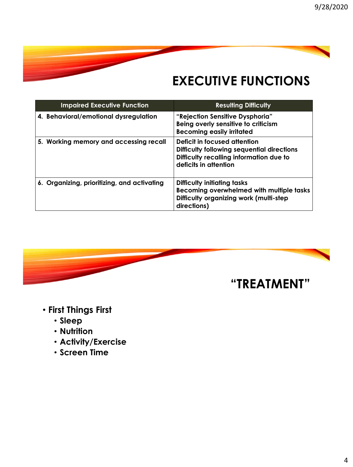## **EXECUTIVE FUNCTIONS**

| <b>Impaired Executive Function</b>          | <b>Resulting Difficulty</b>                                                                                                                           |
|---------------------------------------------|-------------------------------------------------------------------------------------------------------------------------------------------------------|
| 4. Behavioral/emotional dysregulation       | "Rejection Sensitive Dysphoria"<br>Being overly sensitive to criticism<br><b>Becoming easily irritated</b>                                            |
| 5. Working memory and accessing recall      | Deficit in focused attention<br><b>Difficulty following sequential directions</b><br>Difficulty recalling information due to<br>deficits in attention |
| 6. Organizing, prioritizing, and activating | Difficulty initiating tasks<br>Becoming overwhelmed with multiple tasks<br>Difficulty organizing work (multi-step<br>directions)                      |



- **First Things First**
	- **Sleep**
	- **Nutrition**
	- **Activity/Exercise**
	- **Screen Time**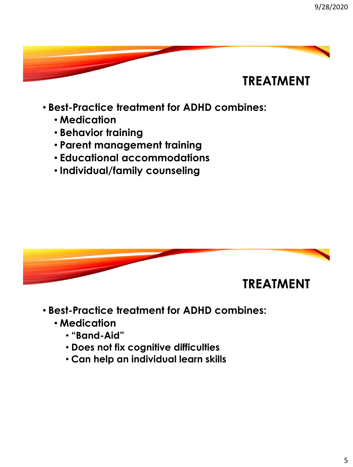

- **Best-Practice treatment for ADHD combines:**
	- **Medication**
	- **Behavior training**
	- **Parent management training**
	- **Educational accommodations**
	- **Individual/family counseling**



- **Best-Practice treatment for ADHD combines:**
	- **Medication**
		- **"Band-Aid"**
		- **Does not fix cognitive difficulties**
		- **Can help an individual learn skills**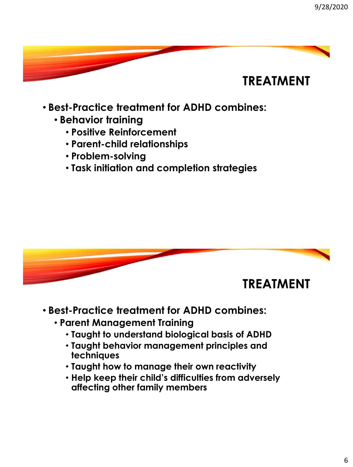

- **Best-Practice treatment for ADHD combines:**
	- **Behavior training**
		- **Positive Reinforcement**
		- **Parent-child relationships**
		- **Problem-solving**
		- **Task initiation and completion strategies**



- **Best-Practice treatment for ADHD combines:**
	- **Parent Management Training**
		- **Taught to understand biological basis of ADHD**
		- **Taught behavior management principles and techniques**
		- **Taught how to manage their own reactivity**
		- **Help keep their child's difficulties from adversely affecting other family members**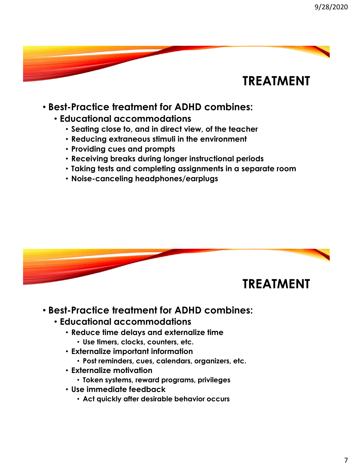#### • **Best-Practice treatment for ADHD combines:**

- **Educational accommodations**
	- **Seating close to, and in direct view, of the teacher**
	- **Reducing extraneous stimuli in the environment**
	- **Providing cues and prompts**
	- **Receiving breaks during longer instructional periods**
	- **Taking tests and completing assignments in a separate room**
	- **Noise-canceling headphones/earplugs**



- **Best-Practice treatment for ADHD combines:**
	- **Educational accommodations**
		- **Reduce time delays and externalize time**
			- **Use timers, clocks, counters, etc.**
		- **Externalize important information**
			- **Post reminders, cues, calendars, organizers, etc.**
		- **Externalize motivation**
			- **Token systems, reward programs, privileges**
		- **Use immediate feedback**
			- **Act quickly after desirable behavior occurs**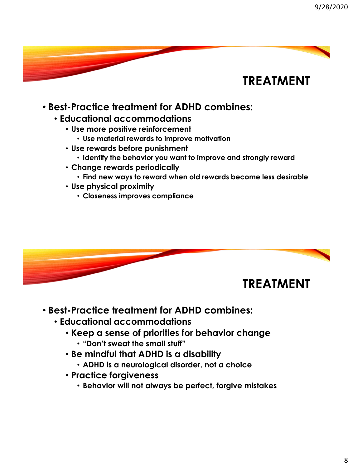#### • **Best-Practice treatment for ADHD combines:**

- **Educational accommodations**
	- **Use more positive reinforcement**
		- **Use material rewards to improve motivation**
	- **Use rewards before punishment**
		- **Identify the behavior you want to improve and strongly reward**
	- **Change rewards periodically**
		- **Find new ways to reward when old rewards become less desirable**
	- **Use physical proximity**
		- **Closeness improves compliance**



- **Best-Practice treatment for ADHD combines:**
	- **Educational accommodations**
		- **Keep a sense of priorities for behavior change**
			- **"Don't sweat the small stuff"**
		- **Be mindful that ADHD is a disability**
			- **ADHD is a neurological disorder, not a choice**
		- **Practice forgiveness**
			- **Behavior will not always be perfect, forgive mistakes**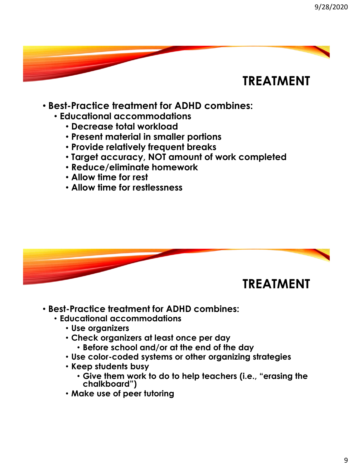- **Best-Practice treatment for ADHD combines:**
	- **Educational accommodations**
		- **Decrease total workload**
		- **Present material in smaller portions**
		- **Provide relatively frequent breaks**
		- **Target accuracy, NOT amount of work completed**
		- **Reduce/eliminate homework**
		- **Allow time for rest**
		- **Allow time for restlessness**



- **Best-Practice treatment for ADHD combines:**
	- **Educational accommodations**
		- **Use organizers**
		- **Check organizers at least once per day**
			- **Before school and/or at the end of the day**
		- **Use color-coded systems or other organizing strategies**
		- **Keep students busy**
			- **Give them work to do to help teachers (i.e., "erasing the chalkboard")**
		- **Make use of peer tutoring**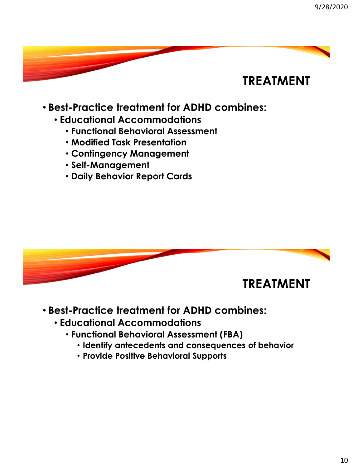

- **Best-Practice treatment for ADHD combines:**
	- **Educational Accommodations**
		- **Functional Behavioral Assessment**
		- **Modified Task Presentation**
		- **Contingency Management**
		- **Self-Management**
		- **Daily Behavior Report Cards**



- **Best-Practice treatment for ADHD combines:**
	- **Educational Accommodations**
		- **Functional Behavioral Assessment (FBA)**
			- **Identify antecedents and consequences of behavior**
			- **Provide Positive Behavioral Supports**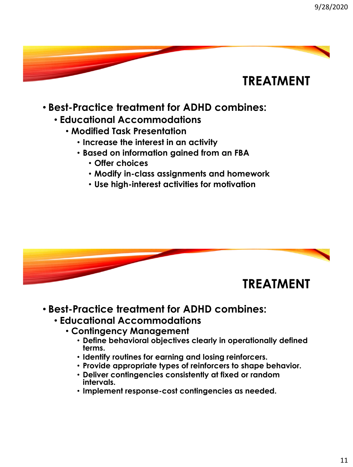

- **Best-Practice treatment for ADHD combines:**
	- **Educational Accommodations**
		- **Modified Task Presentation**
			- **Increase the interest in an activity**
			- **Based on information gained from an FBA**
				- **Offer choices**
				- **Modify in-class assignments and homework**
				- **Use high-interest activities for motivation**



- **Best-Practice treatment for ADHD combines:**
	- **Educational Accommodations**
		- **Contingency Management**
			- **Define behavioral objectives clearly in operationally defined terms.**
			- **Identify routines for earning and losing reinforcers.**
			- **Provide appropriate types of reinforcers to shape behavior.**
			- **Deliver contingencies consistently at fixed or random intervals.**
			- **Implement response-cost contingencies as needed.**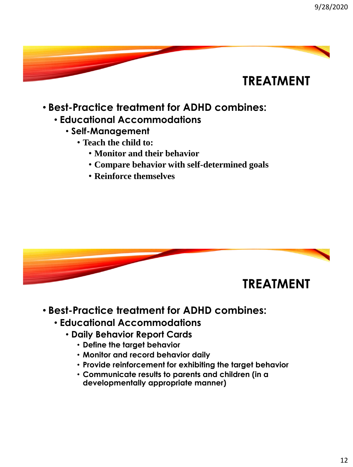

- **Best-Practice treatment for ADHD combines:**
	- **Educational Accommodations**
		- **Self-Management**
			- **Teach the child to:**
				- **Monitor and their behavior**
				- **Compare behavior with self-determined goals**
				- **Reinforce themselves**



- **Best-Practice treatment for ADHD combines:**
	- **Educational Accommodations**
		- **Daily Behavior Report Cards**
			- **Define the target behavior**
			- **Monitor and record behavior daily**
			- **Provide reinforcement for exhibiting the target behavior**
			- **Communicate results to parents and children (in a developmentally appropriate manner)**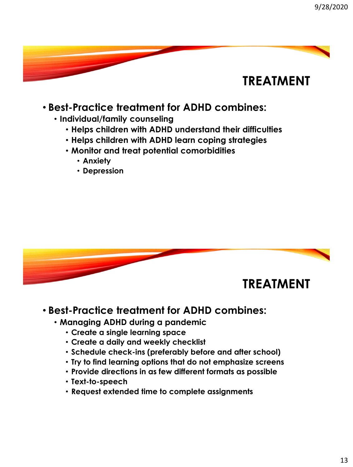#### • **Best-Practice treatment for ADHD combines:**

- **Individual/family counseling**
	- **Helps children with ADHD understand their difficulties**
	- **Helps children with ADHD learn coping strategies**
	- **Monitor and treat potential comorbidities**
		- **Anxiety**
		- **Depression**



#### • **Best-Practice treatment for ADHD combines:**

- **Managing ADHD during a pandemic**
	- **Create a single learning space**
	- **Create a daily and weekly checklist**
	- **Schedule check-ins (preferably before and after school)**
	- **Try to find learning options that do not emphasize screens**
	- **Provide directions in as few different formats as possible**
	- **Text-to-speech**
	- **Request extended time to complete assignments**